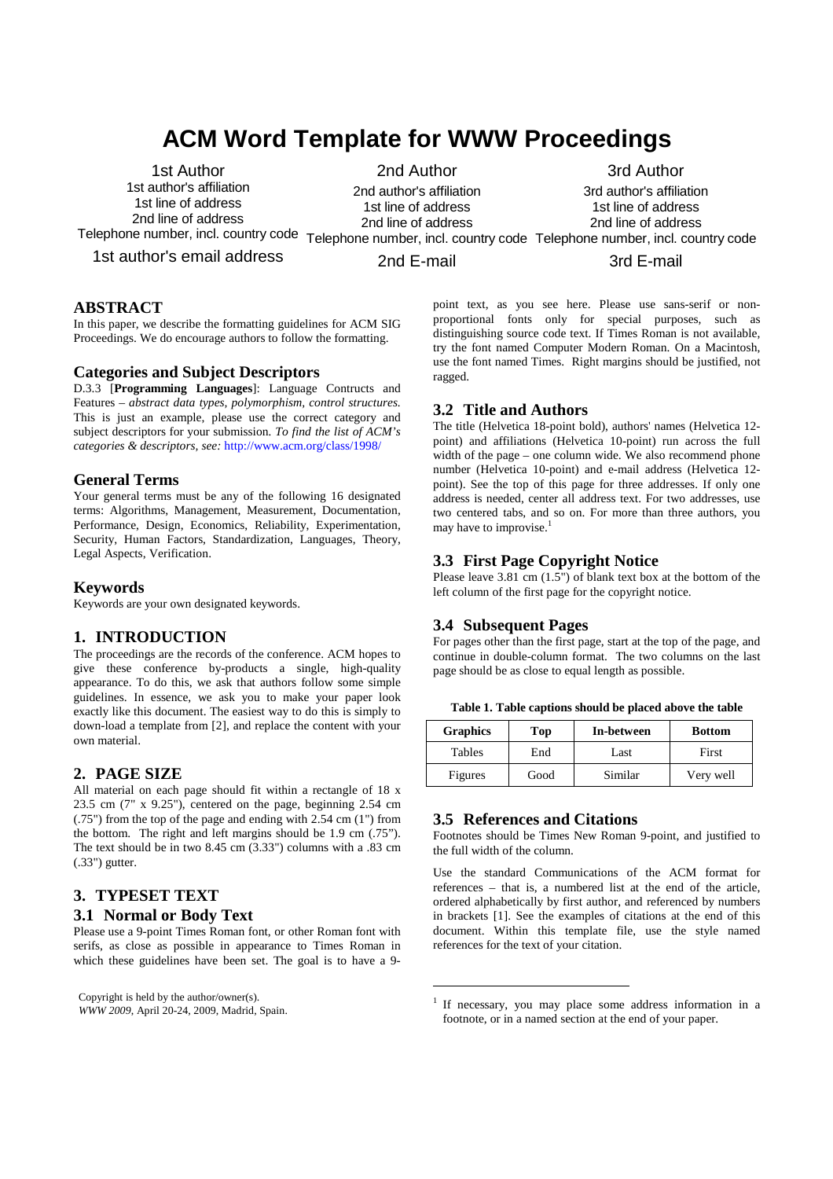# **ACM Word Template for WWW Proceedings**

1st Author 1st author's affiliation 1st line of address 2nd line of address

2nd Author 2nd author's affiliation 3rd Author

3rd author's affiliation

1st line of address 2nd line of address

1st line of address 2nd line of address

Telephone number, incl. country code Telephone number, incl. country code Telephone number, incl. country code

1st author's email address

2nd E-mail

3rd E-mail

## **ABSTRACT**

In this paper, we describe the formatting guidelines for ACM SIG Proceedings. We do encourage authors to follow the formatting.

### **Categories and Subject Descriptors**

D.3.3 [**Programming Languages**]: Language Contructs and Features – *abstract data types, polymorphism, control structures.*  This is just an example, please use the correct category and subject descriptors for your submission*. To find the list of ACM's categories & descriptors, see:* http://www.acm.org/class/1998/

### **General Terms**

Your general terms must be any of the following 16 designated terms: Algorithms, Management, Measurement, Documentation, Performance, Design, Economics, Reliability, Experimentation, Security, Human Factors, Standardization, Languages, Theory, Legal Aspects, Verification.

#### **Keywords**

Keywords are your own designated keywords.

## **1. INTRODUCTION**

The proceedings are the records of the conference. ACM hopes to give these conference by-products a single, high-quality appearance. To do this, we ask that authors follow some simple guidelines. In essence, we ask you to make your paper look exactly like this document. The easiest way to do this is simply to down-load a template from [2], and replace the content with your own material.

## **2. PAGE SIZE**

All material on each page should fit within a rectangle of 18 x 23.5 cm (7" x 9.25"), centered on the page, beginning 2.54 cm (.75") from the top of the page and ending with 2.54 cm (1") from the bottom. The right and left margins should be 1.9 cm (.75"). The text should be in two 8.45 cm (3.33") columns with a .83 cm (.33") gutter.

## **3. TYPESET TEXT**

#### **3.1 Normal or Body Text**

Please use a 9-point Times Roman font, or other Roman font with serifs, as close as possible in appearance to Times Roman in which these guidelines have been set. The goal is to have a 9-

Copyright is held by the author/owner(s). *WWW 2009*, April 20-24, 2009, Madrid, Spain. point text, as you see here. Please use sans-serif or nonproportional fonts only for special purposes, such as distinguishing source code text. If Times Roman is not available, try the font named Computer Modern Roman. On a Macintosh, use the font named Times. Right margins should be justified, not ragged.

### **3.2 Title and Authors**

The title (Helvetica 18-point bold), authors' names (Helvetica 12 point) and affiliations (Helvetica 10-point) run across the full width of the page – one column wide. We also recommend phone number (Helvetica 10-point) and e-mail address (Helvetica 12 point). See the top of this page for three addresses. If only one address is needed, center all address text. For two addresses, use two centered tabs, and so on. For more than three authors, you may have to improvise.<sup>1</sup>

## **3.3 First Page Copyright Notice**

Please leave 3.81 cm (1.5") of blank text box at the bottom of the left column of the first page for the copyright notice.

## **3.4 Subsequent Pages**

For pages other than the first page, start at the top of the page, and continue in double-column format. The two columns on the last page should be as close to equal length as possible.

**Table 1. Table captions should be placed above the table** 

| <b>Graphics</b> | Top  | In-between | <b>Bottom</b> |
|-----------------|------|------------|---------------|
| Tables          | End  | Last       | First         |
| Figures         | Good | Similar    | Very well     |

## **3.5 References and Citations**

 $\overline{a}$ 

Footnotes should be Times New Roman 9-point, and justified to the full width of the column.

Use the standard Communications of the ACM format for references – that is, a numbered list at the end of the article, ordered alphabetically by first author, and referenced by numbers in brackets [1]. See the examples of citations at the end of this document. Within this template file, use the style named references for the text of your citation.

<sup>&</sup>lt;sup>1</sup> If necessary, you may place some address information in a footnote, or in a named section at the end of your paper.